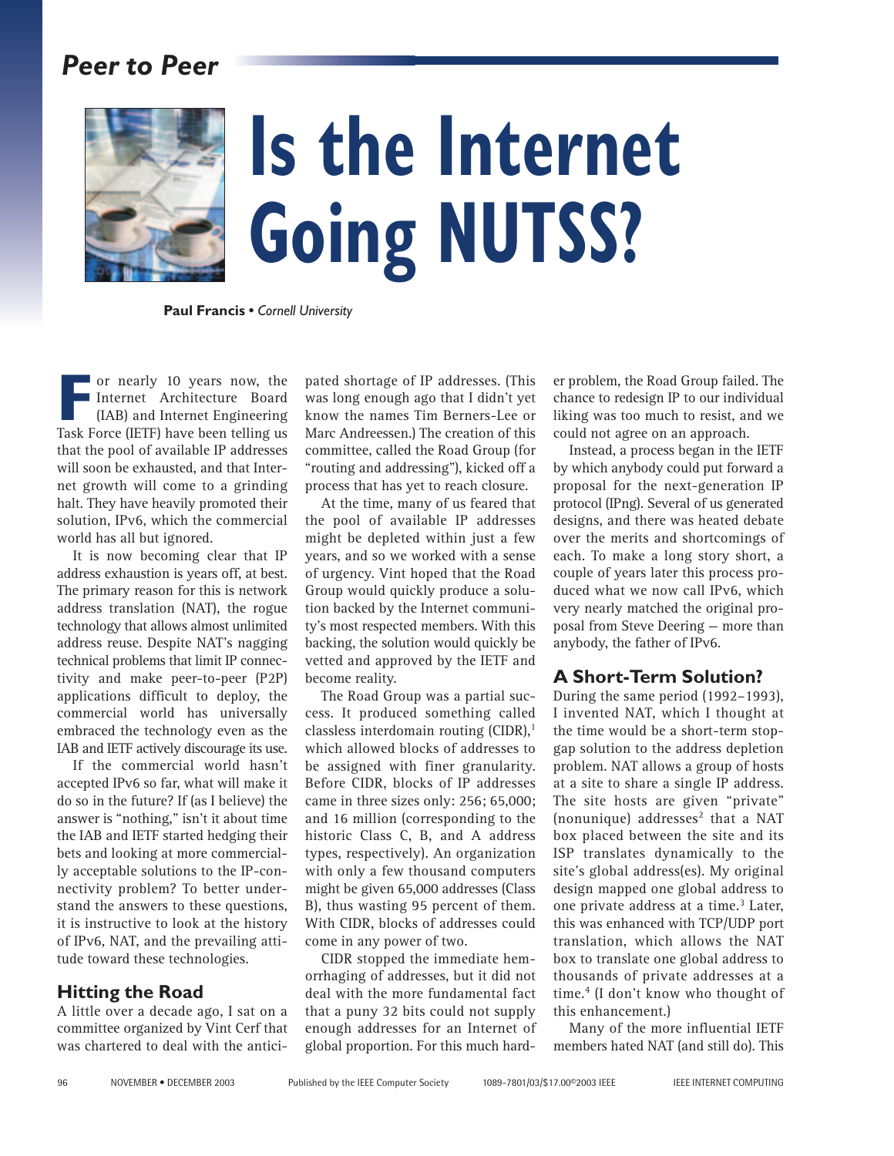# *Peer to Peer*



# **Is the Internet Going NUTSS?**

**Paul Francis •** *Cornell University*

**F** Task Force (IETF) have been telling us or nearly 10 years now, the Internet Architecture Board (IAB) and Internet Engineering that the pool of available IP addresses will soon be exhausted, and that Internet growth will come to a grinding halt. They have heavily promoted their solution, IPv6, which the commercial world has all but ignored.

It is now becoming clear that IP address exhaustion is years off, at best. The primary reason for this is network address translation (NAT), the rogue technology that allows almost unlimited address reuse. Despite NAT's nagging technical problems that limit IP connectivity and make peer-to-peer (P2P) applications difficult to deploy, the commercial world has universally embraced the technology even as the IAB and IETF actively discourage its use.

If the commercial world hasn't accepted IPv6 so far, what will make it do so in the future? If (as I believe) the answer is "nothing," isn't it about time the IAB and IETF started hedging their bets and looking at more commercially acceptable solutions to the IP-connectivity problem? To better understand the answers to these questions, it is instructive to look at the history of IPv6, NAT, and the prevailing attitude toward these technologies.

# **Hitting the Road**

A little over a decade ago, I sat on a committee organized by Vint Cerf that was chartered to deal with the antici-

pated shortage of IP addresses. (This was long enough ago that I didn't yet know the names Tim Berners-Lee or Marc Andreessen.) The creation of this committee, called the Road Group (for "routing and addressing"), kicked off a process that has yet to reach closure.

At the time, many of us feared that the pool of available IP addresses might be depleted within just a few years, and so we worked with a sense of urgency. Vint hoped that the Road Group would quickly produce a solution backed by the Internet community's most respected members. With this backing, the solution would quickly be vetted and approved by the IETF and become reality.

The Road Group was a partial success. It produced something called classless interdomain routing  $(CIDR)^1$ which allowed blocks of addresses to be assigned with finer granularity. Before CIDR, blocks of IP addresses came in three sizes only: 256; 65,000; and 16 million (corresponding to the historic Class C, B, and A address types, respectively). An organization with only a few thousand computers might be given 65,000 addresses (Class B), thus wasting 95 percent of them. With CIDR, blocks of addresses could come in any power of two.

CIDR stopped the immediate hemorrhaging of addresses, but it did not deal with the more fundamental fact that a puny 32 bits could not supply enough addresses for an Internet of global proportion. For this much hard-

er problem, the Road Group failed. The chance to redesign IP to our individual liking was too much to resist, and we could not agree on an approach.

Instead, a process began in the IETF by which anybody could put forward a proposal for the next-generation IP protocol (IPng). Several of us generated designs, and there was heated debate over the merits and shortcomings of each. To make a long story short, a couple of years later this process produced what we now call IPv6, which very nearly matched the original proposal from Steve Deering — more than anybody, the father of IPv6.

# **A Short-Term Solution?**

During the same period (1992–1993), I invented NAT, which I thought at the time would be a short-term stopgap solution to the address depletion problem. NAT allows a group of hosts at a site to share a single IP address. The site hosts are given "private" (nonunique) addresses<sup>2</sup> that a NAT box placed between the site and its ISP translates dynamically to the site's global address(es). My original design mapped one global address to one private address at a time.<sup>3</sup> Later, this was enhanced with TCP/UDP port translation, which allows the NAT box to translate one global address to thousands of private addresses at a time.4 (I don't know who thought of this enhancement.)

Many of the more influential IETF members hated NAT (and still do). This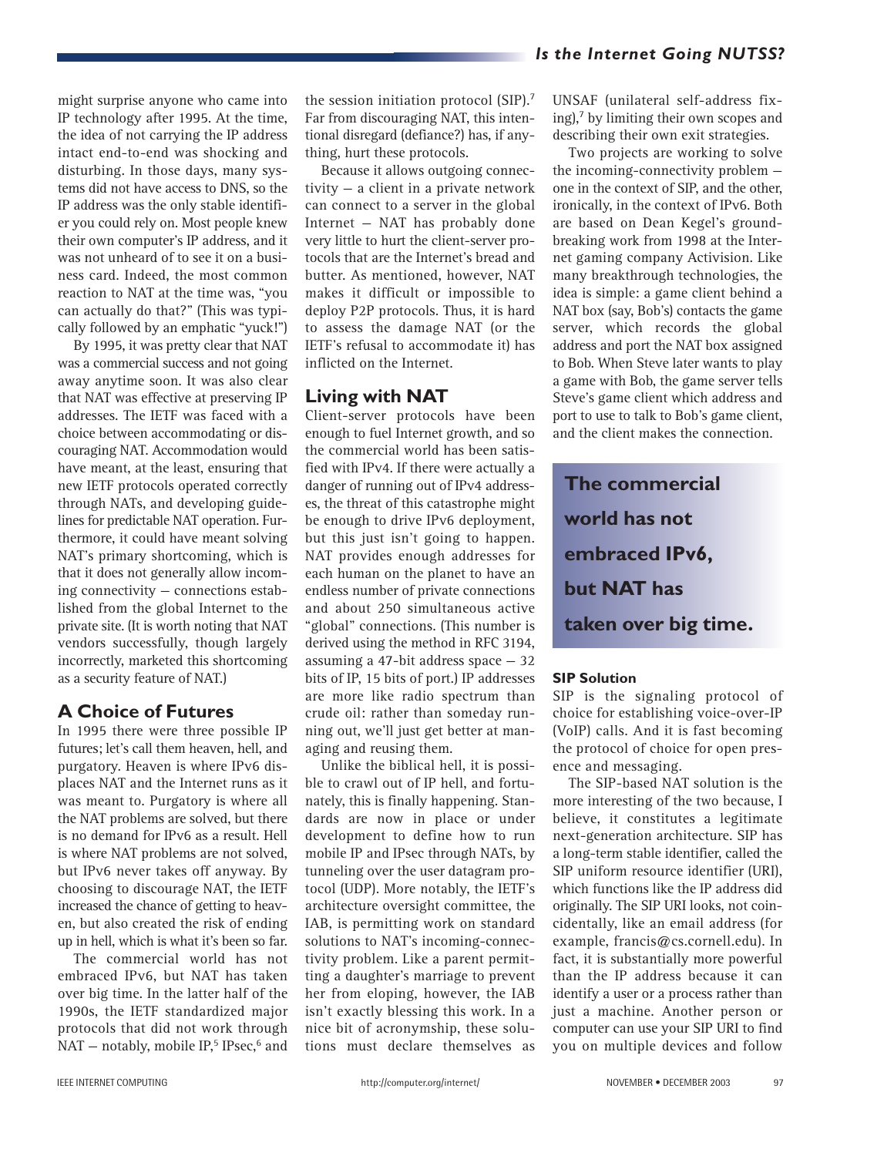might surprise anyone who came into IP technology after 1995. At the time, the idea of not carrying the IP address intact end-to-end was shocking and disturbing. In those days, many systems did not have access to DNS, so the IP address was the only stable identifier you could rely on. Most people knew their own computer's IP address, and it was not unheard of to see it on a business card. Indeed, the most common reaction to NAT at the time was, "you can actually do that?" (This was typically followed by an emphatic "yuck!")

By 1995, it was pretty clear that NAT was a commercial success and not going away anytime soon. It was also clear that NAT was effective at preserving IP addresses. The IETF was faced with a choice between accommodating or discouraging NAT. Accommodation would have meant, at the least, ensuring that new IETF protocols operated correctly through NATs, and developing guidelines for predictable NAT operation. Furthermore, it could have meant solving NAT's primary shortcoming, which is that it does not generally allow incoming connectivity — connections established from the global Internet to the private site. (It is worth noting that NAT vendors successfully, though largely incorrectly, marketed this shortcoming as a security feature of NAT.)

# **A Choice of Futures**

In 1995 there were three possible IP futures; let's call them heaven, hell, and purgatory. Heaven is where IPv6 displaces NAT and the Internet runs as it was meant to. Purgatory is where all the NAT problems are solved, but there is no demand for IPv6 as a result. Hell is where NAT problems are not solved, but IPv6 never takes off anyway. By choosing to discourage NAT, the IETF increased the chance of getting to heaven, but also created the risk of ending up in hell, which is what it's been so far.

The commercial world has not embraced IPv6, but NAT has taken over big time. In the latter half of the 1990s, the IETF standardized major protocols that did not work through NAT – notably, mobile IP,<sup>5</sup> IPsec,  $6$  and

the session initiation protocol (SIP).7 Far from discouraging NAT, this intentional disregard (defiance?) has, if anything, hurt these protocols.

Because it allows outgoing connectivity — a client in a private network can connect to a server in the global Internet — NAT has probably done very little to hurt the client-server protocols that are the Internet's bread and butter. As mentioned, however, NAT makes it difficult or impossible to deploy P2P protocols. Thus, it is hard to assess the damage NAT (or the IETF's refusal to accommodate it) has inflicted on the Internet.

# **Living with NAT**

Client-server protocols have been enough to fuel Internet growth, and so the commercial world has been satisfied with IPv4. If there were actually a danger of running out of IPv4 addresses, the threat of this catastrophe might be enough to drive IPv6 deployment, but this just isn't going to happen. NAT provides enough addresses for each human on the planet to have an endless number of private connections and about 250 simultaneous active "global" connections. (This number is derived using the method in RFC 3194, assuming a 47-bit address space  $-32$ bits of IP, 15 bits of port.) IP addresses are more like radio spectrum than crude oil: rather than someday running out, we'll just get better at managing and reusing them.

Unlike the biblical hell, it is possible to crawl out of IP hell, and fortunately, this is finally happening. Standards are now in place or under development to define how to run mobile IP and IPsec through NATs, by tunneling over the user datagram protocol (UDP). More notably, the IETF's architecture oversight committee, the IAB, is permitting work on standard solutions to NAT's incoming-connectivity problem. Like a parent permitting a daughter's marriage to prevent her from eloping, however, the IAB isn't exactly blessing this work. In a nice bit of acronymship, these solutions must declare themselves as UNSAF (unilateral self-address fixing), $<sup>7</sup>$  by limiting their own scopes and</sup> describing their own exit strategies.

Two projects are working to solve the incoming-connectivity problem one in the context of SIP, and the other, ironically, in the context of IPv6. Both are based on Dean Kegel's groundbreaking work from 1998 at the Internet gaming company Activision. Like many breakthrough technologies, the idea is simple: a game client behind a NAT box (say, Bob's) contacts the game server, which records the global address and port the NAT box assigned to Bob. When Steve later wants to play a game with Bob, the game server tells Steve's game client which address and port to use to talk to Bob's game client, and the client makes the connection.

**The commercial world has not embraced IPv6, but NAT has taken over big time.**

#### **SIP Solution**

SIP is the signaling protocol of choice for establishing voice-over-IP (VoIP) calls. And it is fast becoming the protocol of choice for open presence and messaging.

The SIP-based NAT solution is the more interesting of the two because, I believe, it constitutes a legitimate next-generation architecture. SIP has a long-term stable identifier, called the SIP uniform resource identifier (URI), which functions like the IP address did originally. The SIP URI looks, not coincidentally, like an email address (for example, francis@cs.cornell.edu). In fact, it is substantially more powerful than the IP address because it can identify a user or a process rather than just a machine. Another person or computer can use your SIP URI to find you on multiple devices and follow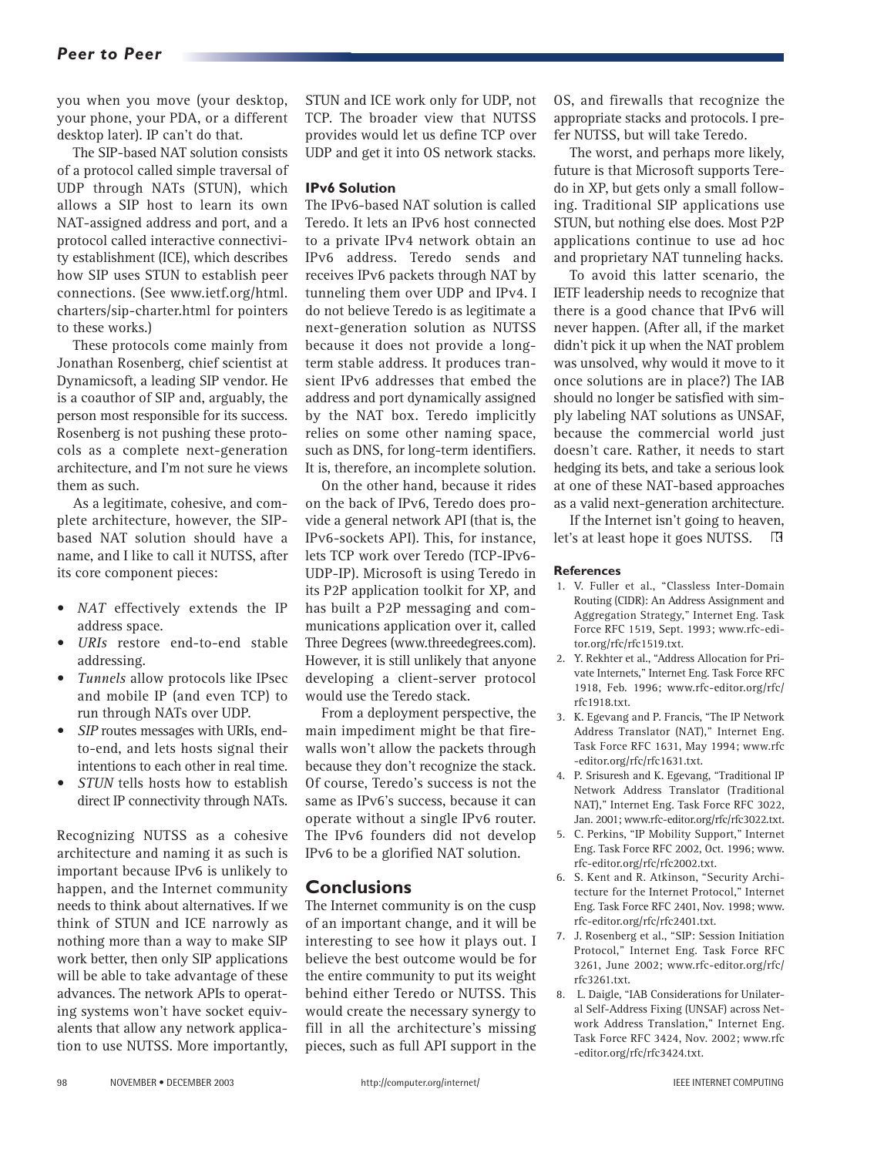#### *Peer to Peer*

you when you move (your desktop, your phone, your PDA, or a different desktop later). IP can't do that.

The SIP-based NAT solution consists of a protocol called simple traversal of UDP through NATs (STUN), which allows a SIP host to learn its own NAT-assigned address and port, and a protocol called interactive connectivity establishment (ICE), which describes how SIP uses STUN to establish peer connections. (See www.ietf.org/html. charters/sip-charter.html for pointers to these works.)

These protocols come mainly from Jonathan Rosenberg, chief scientist at Dynamicsoft, a leading SIP vendor. He is a coauthor of SIP and, arguably, the person most responsible for its success. Rosenberg is not pushing these protocols as a complete next-generation architecture, and I'm not sure he views them as such.

As a legitimate, cohesive, and complete architecture, however, the SIPbased NAT solution should have a name, and I like to call it NUTSS, after its core component pieces:

- *NAT* effectively extends the IP address space.
- *URIs* restore end-to-end stable addressing.
- *Tunnels* allow protocols like IPsec and mobile IP (and even TCP) to run through NATs over UDP.
- *SIP* routes messages with URIs, endto-end, and lets hosts signal their intentions to each other in real time.
- *STUN* tells hosts how to establish direct IP connectivity through NATs.

Recognizing NUTSS as a cohesive architecture and naming it as such is important because IPv6 is unlikely to happen, and the Internet community needs to think about alternatives. If we think of STUN and ICE narrowly as nothing more than a way to make SIP work better, then only SIP applications will be able to take advantage of these advances. The network APIs to operating systems won't have socket equivalents that allow any network application to use NUTSS. More importantly,

STUN and ICE work only for UDP, not TCP. The broader view that NUTSS provides would let us define TCP over UDP and get it into OS network stacks.

#### **IPv6 Solution**

The IPv6-based NAT solution is called Teredo. It lets an IPv6 host connected to a private IPv4 network obtain an IPv6 address. Teredo sends and receives IPv6 packets through NAT by tunneling them over UDP and IPv4. I do not believe Teredo is as legitimate a next-generation solution as NUTSS because it does not provide a longterm stable address. It produces transient IPv6 addresses that embed the address and port dynamically assigned by the NAT box. Teredo implicitly relies on some other naming space, such as DNS, for long-term identifiers. It is, therefore, an incomplete solution.

On the other hand, because it rides on the back of IPv6, Teredo does provide a general network API (that is, the IPv6-sockets API). This, for instance, lets TCP work over Teredo (TCP-IPv6- UDP-IP). Microsoft is using Teredo in its P2P application toolkit for XP, and has built a P2P messaging and communications application over it, called Three Degrees (www.threedegrees.com). However, it is still unlikely that anyone developing a client-server protocol would use the Teredo stack.

From a deployment perspective, the main impediment might be that firewalls won't allow the packets through because they don't recognize the stack. Of course, Teredo's success is not the same as IPv6's success, because it can operate without a single IPv6 router. The IPv6 founders did not develop IPv6 to be a glorified NAT solution.

#### **Conclusions**

The Internet community is on the cusp of an important change, and it will be interesting to see how it plays out. I believe the best outcome would be for the entire community to put its weight behind either Teredo or NUTSS. This would create the necessary synergy to fill in all the architecture's missing pieces, such as full API support in the

OS, and firewalls that recognize the appropriate stacks and protocols. I prefer NUTSS, but will take Teredo.

The worst, and perhaps more likely, future is that Microsoft supports Teredo in XP, but gets only a small following. Traditional SIP applications use STUN, but nothing else does. Most P2P applications continue to use ad hoc and proprietary NAT tunneling hacks.

To avoid this latter scenario, the IETF leadership needs to recognize that there is a good chance that IPv6 will never happen. (After all, if the market didn't pick it up when the NAT problem was unsolved, why would it move to it once solutions are in place?) The IAB should no longer be satisfied with simply labeling NAT solutions as UNSAF, because the commercial world just doesn't care. Rather, it needs to start hedging its bets, and take a serious look at one of these NAT-based approaches as a valid next-generation architecture.

If the Internet isn't going to heaven, let's at least hope it goes NUTSS.  $\mathbb{E}$ 

#### **References**

- 1. V. Fuller et al., "Classless Inter-Domain Routing (CIDR): An Address Assignment and Aggregation Strategy," Internet Eng. Task Force RFC 1519, Sept. 1993; www.rfc-editor.org/rfc/rfc1519.txt.
- 2. Y. Rekhter et al., "Address Allocation for Private Internets," Internet Eng. Task Force RFC 1918, Feb. 1996; www.rfc-editor.org/rfc/ rfc1918.txt.
- 3. K. Egevang and P. Francis, "The IP Network Address Translator (NAT)," Internet Eng. Task Force RFC 1631, May 1994; www.rfc -editor.org/rfc/rfc1631.txt.
- 4. P. Srisuresh and K. Egevang, "Traditional IP Network Address Translator (Traditional NAT)," Internet Eng. Task Force RFC 3022, Jan. 2001; www.rfc-editor.org/rfc/rfc3022.txt.
- 5. C. Perkins, "IP Mobility Support," Internet Eng. Task Force RFC 2002, Oct. 1996; www. rfc-editor.org/rfc/rfc2002.txt.
- 6. S. Kent and R. Atkinson, "Security Architecture for the Internet Protocol," Internet Eng. Task Force RFC 2401, Nov. 1998; www. rfc-editor.org/rfc/rfc2401.txt.
- 7. J. Rosenberg et al., "SIP: Session Initiation Protocol," Internet Eng. Task Force RFC 3261, June 2002; www.rfc-editor.org/rfc/ rfc3261.txt.
- 8. L. Daigle, "IAB Considerations for Unilateral Self-Address Fixing (UNSAF) across Network Address Translation," Internet Eng. Task Force RFC 3424, Nov. 2002; www.rfc -editor.org/rfc/rfc3424.txt.